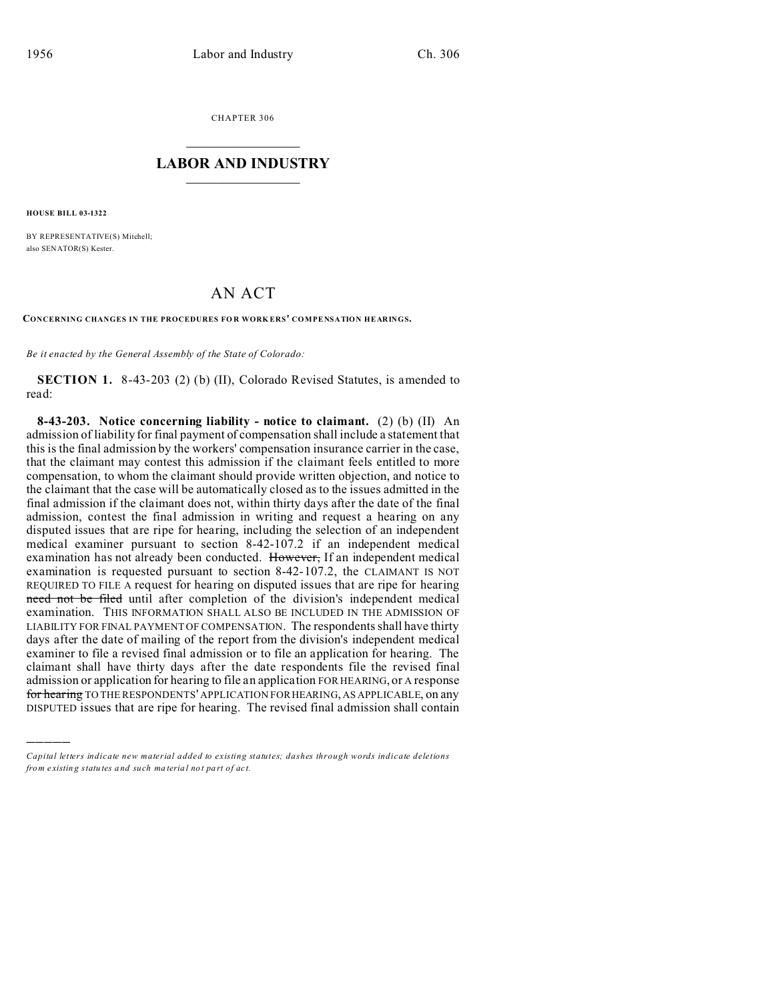CHAPTER 306  $\overline{\phantom{a}}$  , where  $\overline{\phantom{a}}$ 

## **LABOR AND INDUSTRY**  $\frac{1}{\sqrt{2}}$  ,  $\frac{1}{\sqrt{2}}$  ,  $\frac{1}{\sqrt{2}}$  ,  $\frac{1}{\sqrt{2}}$  ,  $\frac{1}{\sqrt{2}}$  ,  $\frac{1}{\sqrt{2}}$

**HOUSE BILL 03-1322**

)))))

BY REPRESENTATIVE(S) Mitchell; also SENATOR(S) Kester.

## AN ACT

**CONCERNING CHANGES IN THE PROCEDURES FO R WORK ERS' COMPENSATION HEARINGS.**

*Be it enacted by the General Assembly of the State of Colorado:*

**SECTION 1.** 8-43-203 (2) (b) (II), Colorado Revised Statutes, is amended to read:

**8-43-203. Notice concerning liability - notice to claimant.** (2) (b) (II) An admission of liability for final payment of compensation shall include a statement that this is the final admission by the workers' compensation insurance carrier in the case, that the claimant may contest this admission if the claimant feels entitled to more compensation, to whom the claimant should provide written objection, and notice to the claimant that the case will be automatically closed as to the issues admitted in the final admission if the claimant does not, within thirty days after the date of the final admission, contest the final admission in writing and request a hearing on any disputed issues that are ripe for hearing, including the selection of an independent medical examiner pursuant to section 8-42-107.2 if an independent medical examination has not already been conducted. However, If an independent medical examination is requested pursuant to section 8-42-107.2, the CLAIMANT IS NOT REQUIRED TO FILE A request for hearing on disputed issues that are ripe for hearing need not be filed until after completion of the division's independent medical examination. THIS INFORMATION SHALL ALSO BE INCLUDED IN THE ADMISSION OF LIABILITY FOR FINAL PAYMENT OF COMPENSATION. The respondents shall have thirty days after the date of mailing of the report from the division's independent medical examiner to file a revised final admission or to file an application for hearing. The claimant shall have thirty days after the date respondents file the revised final admission or application for hearing to file an application FOR HEARING, or A response for hearing TO THE RESPONDENTS' APPLICATION FOR HEARING, AS APPLICABLE, on any DISPUTED issues that are ripe for hearing. The revised final admission shall contain

*Capital letters indicate new material added to existing statutes; dashes through words indicate deletions from e xistin g statu tes a nd such ma teria l no t pa rt of ac t.*